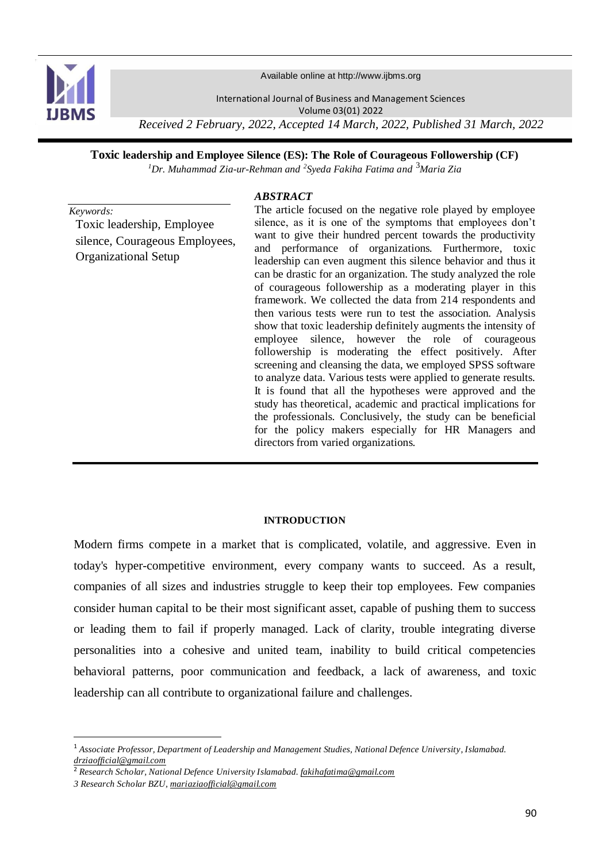

Available online at http://www.ijbms.org

International Journal of Business and Management Sciences Volume 03(01) 2022 *Received 2 February, 2022, Accepted 14 March, 2022, Published 31 March, 2022*

**Toxic leadership and Employee Silence (ES): The Role of Courageous Followership (CF)**

*<sup>1</sup>Dr. Muhammad Zia-ur-Rehman and <sup>2</sup> Syeda Fakiha Fatima and* <sup>3</sup>*Maria Zia*

# *ABSTRACT*

*Keywords:* Toxic leadership, Employee silence, Courageous Employees, Organizational Setup

The article focused on the negative role played by employee silence, as it is one of the symptoms that employees don't want to give their hundred percent towards the productivity and performance of organizations. Furthermore, toxic leadership can even augment this silence behavior and thus it can be drastic for an organization. The study analyzed the role of courageous followership as a moderating player in this framework. We collected the data from 214 respondents and then various tests were run to test the association. Analysis show that toxic leadership definitely augments the intensity of employee silence, however the role of courageous followership is moderating the effect positively. After screening and cleansing the data, we employed SPSS software to analyze data. Various tests were applied to generate results. It is found that all the hypotheses were approved and the study has theoretical, academic and practical implications for the professionals. Conclusively, the study can be beneficial for the policy makers especially for HR Managers and directors from varied organizations.

# **INTRODUCTION**

Modern firms compete in a market that is complicated, volatile, and aggressive. Even in today's hyper-competitive environment, every company wants to succeed. As a result, companies of all sizes and industries struggle to keep their top employees. Few companies consider human capital to be their most significant asset, capable of pushing them to success or leading them to fail if properly managed. Lack of clarity, trouble integrating diverse personalities into a cohesive and united team, inability to build critical competencies behavioral patterns, poor communication and feedback, a lack of awareness, and toxic leadership can all contribute to organizational failure and challenges.

 $\overline{a}$ 

<sup>1</sup> *Associate Professor, Department of Leadership and Management Studies, National Defence University, Islamabad. [drziaofficial@gmail.com](mailto:drziaofficial@gmail.com)*

<sup>2</sup> *Research Scholar, National Defence University Islamabad. fakihafatima@gmail.com*

*<sup>3</sup> Research Scholar BZU, [mariaziaofficial@gmail.com](mailto:mariaziaofficial@gmail.com)*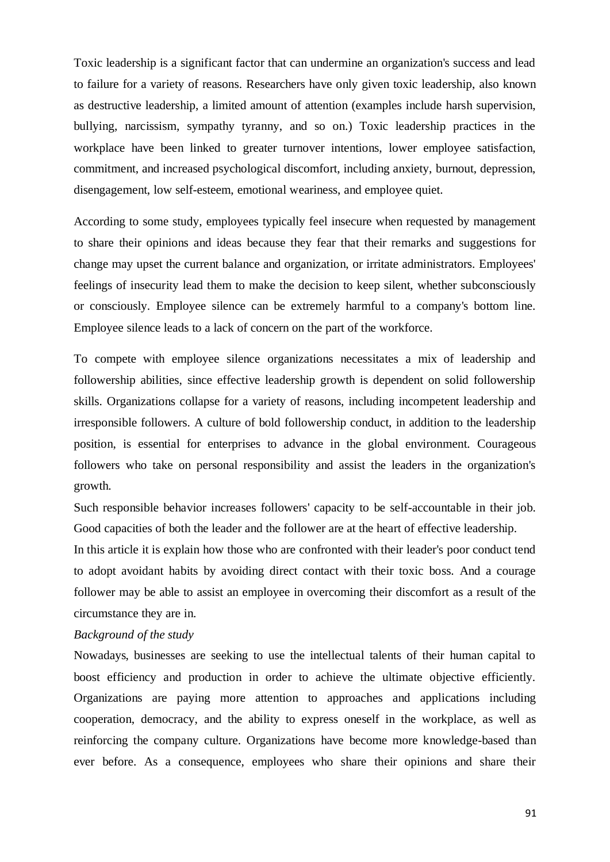Toxic leadership is a significant factor that can undermine an organization's success and lead to failure for a variety of reasons. Researchers have only given toxic leadership, also known as destructive leadership, a limited amount of attention (examples include harsh supervision, bullying, narcissism, sympathy tyranny, and so on.) Toxic leadership practices in the workplace have been linked to greater turnover intentions, lower employee satisfaction, commitment, and increased psychological discomfort, including anxiety, burnout, depression, disengagement, low self-esteem, emotional weariness, and employee quiet.

According to some study, employees typically feel insecure when requested by management to share their opinions and ideas because they fear that their remarks and suggestions for change may upset the current balance and organization, or irritate administrators. Employees' feelings of insecurity lead them to make the decision to keep silent, whether subconsciously or consciously. Employee silence can be extremely harmful to a company's bottom line. Employee silence leads to a lack of concern on the part of the workforce.

To compete with employee silence organizations necessitates a mix of leadership and followership abilities, since effective leadership growth is dependent on solid followership skills. Organizations collapse for a variety of reasons, including incompetent leadership and irresponsible followers. A culture of bold followership conduct, in addition to the leadership position, is essential for enterprises to advance in the global environment. Courageous followers who take on personal responsibility and assist the leaders in the organization's growth.

Such responsible behavior increases followers' capacity to be self-accountable in their job. Good capacities of both the leader and the follower are at the heart of effective leadership.

In this article it is explain how those who are confronted with their leader's poor conduct tend to adopt avoidant habits by avoiding direct contact with their toxic boss. And a courage follower may be able to assist an employee in overcoming their discomfort as a result of the circumstance they are in.

#### *Background of the study*

Nowadays, businesses are seeking to use the intellectual talents of their human capital to boost efficiency and production in order to achieve the ultimate objective efficiently. Organizations are paying more attention to approaches and applications including cooperation, democracy, and the ability to express oneself in the workplace, as well as reinforcing the company culture. Organizations have become more knowledge-based than ever before. As a consequence, employees who share their opinions and share their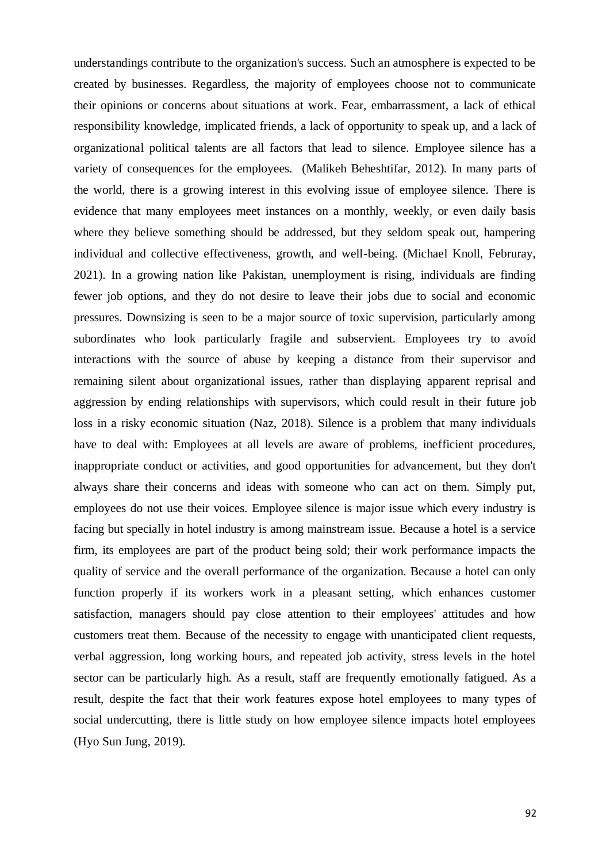understandings contribute to the organization's success. Such an atmosphere is expected to be created by businesses. Regardless, the majority of employees choose not to communicate their opinions or concerns about situations at work. Fear, embarrassment, a lack of ethical responsibility knowledge, implicated friends, a lack of opportunity to speak up, and a lack of organizational political talents are all factors that lead to silence. Employee silence has a variety of consequences for the employees. (Malikeh Beheshtifar, 2012). In many parts of the world, there is a growing interest in this evolving issue of employee silence. There is evidence that many employees meet instances on a monthly, weekly, or even daily basis where they believe something should be addressed, but they seldom speak out, hampering individual and collective effectiveness, growth, and well-being. (Michael Knoll, Februray, 2021). In a growing nation like Pakistan, unemployment is rising, individuals are finding fewer job options, and they do not desire to leave their jobs due to social and economic pressures. Downsizing is seen to be a major source of toxic supervision, particularly among subordinates who look particularly fragile and subservient. Employees try to avoid interactions with the source of abuse by keeping a distance from their supervisor and remaining silent about organizational issues, rather than displaying apparent reprisal and aggression by ending relationships with supervisors, which could result in their future job loss in a risky economic situation (Naz, 2018). Silence is a problem that many individuals have to deal with: Employees at all levels are aware of problems, inefficient procedures, inappropriate conduct or activities, and good opportunities for advancement, but they don't always share their concerns and ideas with someone who can act on them. Simply put, employees do not use their voices. Employee silence is major issue which every industry is facing but specially in hotel industry is among mainstream issue. Because a hotel is a service firm, its employees are part of the product being sold; their work performance impacts the quality of service and the overall performance of the organization. Because a hotel can only function properly if its workers work in a pleasant setting, which enhances customer satisfaction, managers should pay close attention to their employees' attitudes and how customers treat them. Because of the necessity to engage with unanticipated client requests, verbal aggression, long working hours, and repeated job activity, stress levels in the hotel sector can be particularly high. As a result, staff are frequently emotionally fatigued. As a result, despite the fact that their work features expose hotel employees to many types of social undercutting, there is little study on how employee silence impacts hotel employees (Hyo Sun Jung, 2019).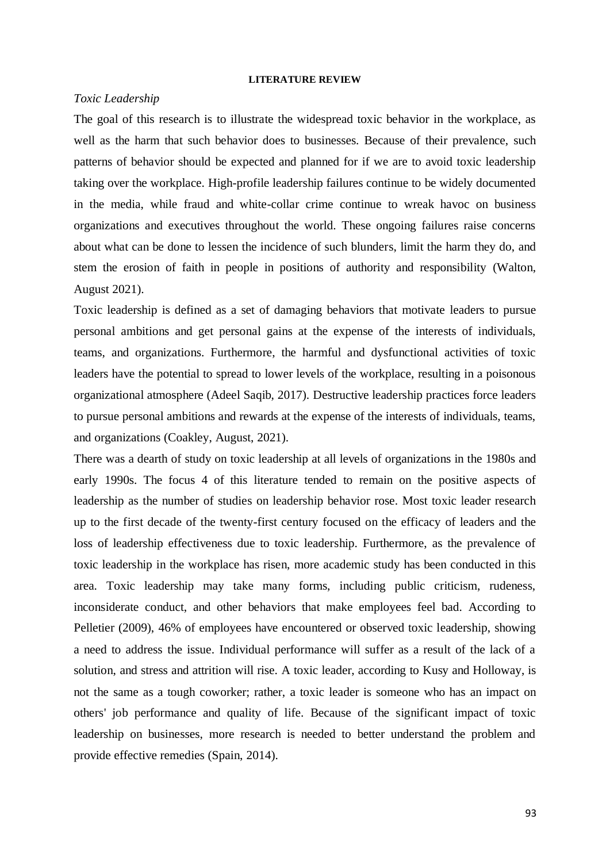#### **LITERATURE REVIEW**

#### *Toxic Leadership*

The goal of this research is to illustrate the widespread toxic behavior in the workplace, as well as the harm that such behavior does to businesses. Because of their prevalence, such patterns of behavior should be expected and planned for if we are to avoid toxic leadership taking over the workplace. High-profile leadership failures continue to be widely documented in the media, while fraud and white-collar crime continue to wreak havoc on business organizations and executives throughout the world. These ongoing failures raise concerns about what can be done to lessen the incidence of such blunders, limit the harm they do, and stem the erosion of faith in people in positions of authority and responsibility (Walton, August 2021).

Toxic leadership is defined as a set of damaging behaviors that motivate leaders to pursue personal ambitions and get personal gains at the expense of the interests of individuals, teams, and organizations. Furthermore, the harmful and dysfunctional activities of toxic leaders have the potential to spread to lower levels of the workplace, resulting in a poisonous organizational atmosphere (Adeel Saqib, 2017). Destructive leadership practices force leaders to pursue personal ambitions and rewards at the expense of the interests of individuals, teams, and organizations (Coakley, August, 2021).

There was a dearth of study on toxic leadership at all levels of organizations in the 1980s and early 1990s. The focus 4 of this literature tended to remain on the positive aspects of leadership as the number of studies on leadership behavior rose. Most toxic leader research up to the first decade of the twenty-first century focused on the efficacy of leaders and the loss of leadership effectiveness due to toxic leadership. Furthermore, as the prevalence of toxic leadership in the workplace has risen, more academic study has been conducted in this area. Toxic leadership may take many forms, including public criticism, rudeness, inconsiderate conduct, and other behaviors that make employees feel bad. According to Pelletier (2009), 46% of employees have encountered or observed toxic leadership, showing a need to address the issue. Individual performance will suffer as a result of the lack of a solution, and stress and attrition will rise. A toxic leader, according to Kusy and Holloway, is not the same as a tough coworker; rather, a toxic leader is someone who has an impact on others' job performance and quality of life. Because of the significant impact of toxic leadership on businesses, more research is needed to better understand the problem and provide effective remedies (Spain, 2014).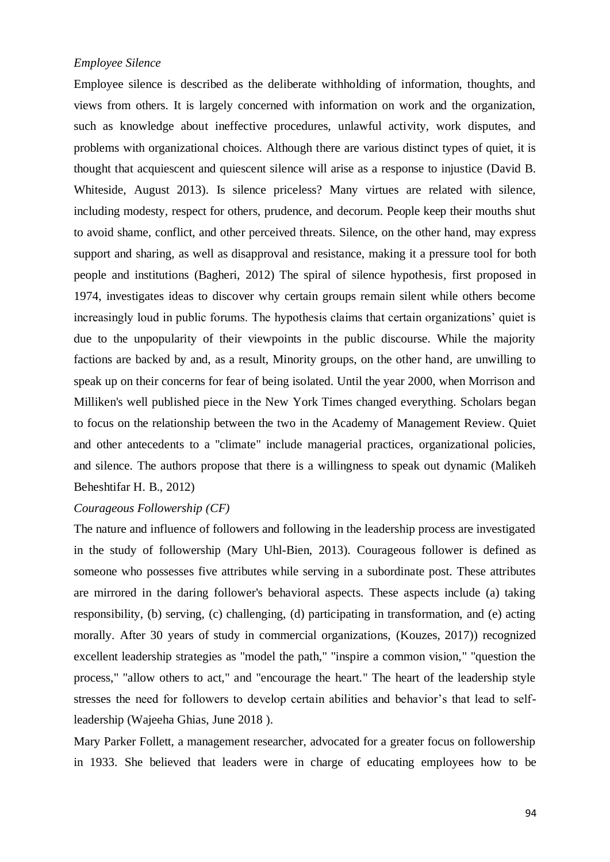#### *Employee Silence*

Employee silence is described as the deliberate withholding of information, thoughts, and views from others. It is largely concerned with information on work and the organization, such as knowledge about ineffective procedures, unlawful activity, work disputes, and problems with organizational choices. Although there are various distinct types of quiet, it is thought that acquiescent and quiescent silence will arise as a response to injustice (David B. Whiteside, August 2013). Is silence priceless? Many virtues are related with silence, including modesty, respect for others, prudence, and decorum. People keep their mouths shut to avoid shame, conflict, and other perceived threats. Silence, on the other hand, may express support and sharing, as well as disapproval and resistance, making it a pressure tool for both people and institutions (Bagheri, 2012) The spiral of silence hypothesis, first proposed in 1974, investigates ideas to discover why certain groups remain silent while others become increasingly loud in public forums. The hypothesis claims that certain organizations' quiet is due to the unpopularity of their viewpoints in the public discourse. While the majority factions are backed by and, as a result, Minority groups, on the other hand, are unwilling to speak up on their concerns for fear of being isolated. Until the year 2000, when Morrison and Milliken's well published piece in the New York Times changed everything. Scholars began to focus on the relationship between the two in the Academy of Management Review. Quiet and other antecedents to a "climate" include managerial practices, organizational policies, and silence. The authors propose that there is a willingness to speak out dynamic (Malikeh Beheshtifar H. B., 2012)

#### *Courageous Followership (CF)*

The nature and influence of followers and following in the leadership process are investigated in the study of followership (Mary Uhl-Bien, 2013). Courageous follower is defined as someone who possesses five attributes while serving in a subordinate post. These attributes are mirrored in the daring follower's behavioral aspects. These aspects include (a) taking responsibility, (b) serving, (c) challenging, (d) participating in transformation, and (e) acting morally. After 30 years of study in commercial organizations, (Kouzes, 2017)) recognized excellent leadership strategies as "model the path," "inspire a common vision," "question the process," "allow others to act," and "encourage the heart." The heart of the leadership style stresses the need for followers to develop certain abilities and behavior's that lead to selfleadership (Wajeeha Ghias, June 2018 ).

Mary Parker Follett, a management researcher, advocated for a greater focus on followership in 1933. She believed that leaders were in charge of educating employees how to be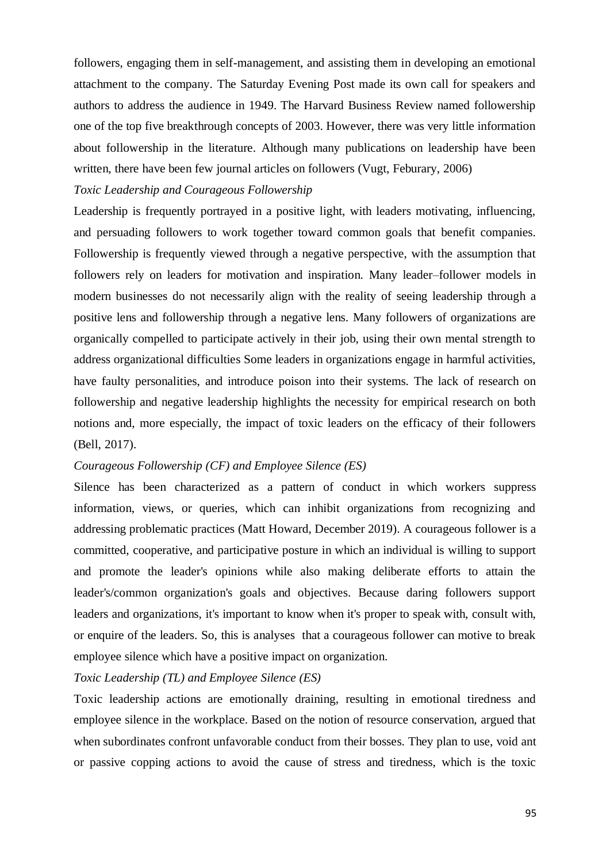followers, engaging them in self-management, and assisting them in developing an emotional attachment to the company. The Saturday Evening Post made its own call for speakers and authors to address the audience in 1949. The Harvard Business Review named followership one of the top five breakthrough concepts of 2003. However, there was very little information about followership in the literature. Although many publications on leadership have been written, there have been few journal articles on followers (Vugt, Feburary, 2006)

# *Toxic Leadership and Courageous Followership*

Leadership is frequently portrayed in a positive light, with leaders motivating, influencing, and persuading followers to work together toward common goals that benefit companies. Followership is frequently viewed through a negative perspective, with the assumption that followers rely on leaders for motivation and inspiration. Many leader–follower models in modern businesses do not necessarily align with the reality of seeing leadership through a positive lens and followership through a negative lens. Many followers of organizations are organically compelled to participate actively in their job, using their own mental strength to address organizational difficulties Some leaders in organizations engage in harmful activities, have faulty personalities, and introduce poison into their systems. The lack of research on followership and negative leadership highlights the necessity for empirical research on both notions and, more especially, the impact of toxic leaders on the efficacy of their followers (Bell, 2017).

# *Courageous Followership (CF) and Employee Silence (ES)*

Silence has been characterized as a pattern of conduct in which workers suppress information, views, or queries, which can inhibit organizations from recognizing and addressing problematic practices (Matt Howard, December 2019). A courageous follower is a committed, cooperative, and participative posture in which an individual is willing to support and promote the leader's opinions while also making deliberate efforts to attain the leader's/common organization's goals and objectives. Because daring followers support leaders and organizations, it's important to know when it's proper to speak with, consult with, or enquire of the leaders. So, this is analyses. that a courageous follower can motive to break employee silence which have a positive impact on organization.

#### *Toxic Leadership (TL) and Employee Silence (ES)*

Toxic leadership actions are emotionally draining, resulting in emotional tiredness and employee silence in the workplace. Based on the notion of resource conservation, argued that when subordinates confront unfavorable conduct from their bosses. They plan to use, void ant or passive copping actions to avoid the cause of stress and tiredness, which is the toxic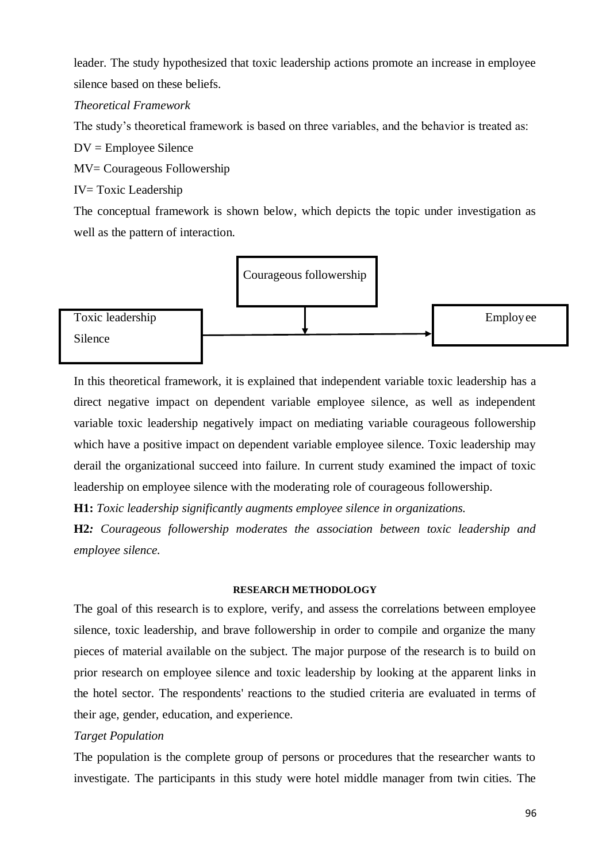leader. The study hypothesized that toxic leadership actions promote an increase in employee silence based on these beliefs.

*Theoretical Framework*

The study's theoretical framework is based on three variables, and the behavior is treated as:

DV = Employee Silence

MV= Courageous Followership

IV= Toxic Leadership

The conceptual framework is shown below, which depicts the topic under investigation as well as the pattern of interaction.



In this theoretical framework, it is explained that independent variable toxic leadership has a direct negative impact on dependent variable employee silence, as well as independent variable toxic leadership negatively impact on mediating variable courageous followership which have a positive impact on dependent variable employee silence. Toxic leadership may derail the organizational succeed into failure. In current study examined the impact of toxic leadership on employee silence with the moderating role of courageous followership.

**H1:** *Toxic leadership significantly augments employee silence in organizations.*

**H2***: Courageous followership moderates the association between toxic leadership and employee silence.*

## **RESEARCH METHODOLOGY**

The goal of this research is to explore, verify, and assess the correlations between employee silence, toxic leadership, and brave followership in order to compile and organize the many pieces of material available on the subject. The major purpose of the research is to build on prior research on employee silence and toxic leadership by looking at the apparent links in the hotel sector. The respondents' reactions to the studied criteria are evaluated in terms of their age, gender, education, and experience.

## *Target Population*

The population is the complete group of persons or procedures that the researcher wants to investigate. The participants in this study were hotel middle manager from twin cities. The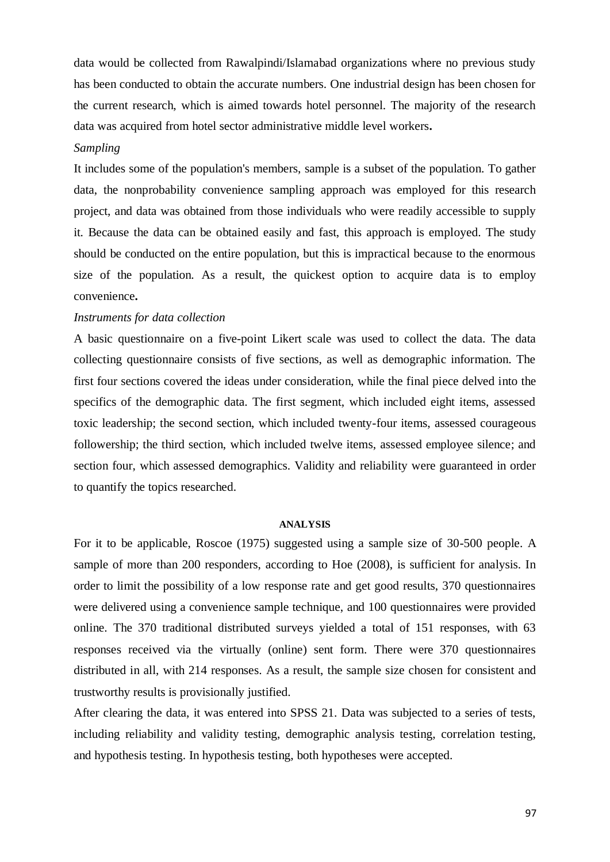data would be collected from Rawalpindi/Islamabad organizations where no previous study has been conducted to obtain the accurate numbers. One industrial design has been chosen for the current research, which is aimed towards hotel personnel. The majority of the research data was acquired from hotel sector administrative middle level workers**.**

## *Sampling*

It includes some of the population's members, sample is a subset of the population. To gather data, the nonprobability convenience sampling approach was employed for this research project, and data was obtained from those individuals who were readily accessible to supply it. Because the data can be obtained easily and fast, this approach is employed. The study should be conducted on the entire population, but this is impractical because to the enormous size of the population. As a result, the quickest option to acquire data is to employ convenience**.**

#### *Instruments for data collection*

A basic questionnaire on a five-point Likert scale was used to collect the data. The data collecting questionnaire consists of five sections, as well as demographic information. The first four sections covered the ideas under consideration, while the final piece delved into the specifics of the demographic data. The first segment, which included eight items, assessed toxic leadership; the second section, which included twenty-four items, assessed courageous followership; the third section, which included twelve items, assessed employee silence; and section four, which assessed demographics. Validity and reliability were guaranteed in order to quantify the topics researched.

#### **ANALYSIS**

For it to be applicable, Roscoe (1975) suggested using a sample size of 30-500 people. A sample of more than 200 responders, according to Hoe (2008), is sufficient for analysis. In order to limit the possibility of a low response rate and get good results, 370 questionnaires were delivered using a convenience sample technique, and 100 questionnaires were provided online. The 370 traditional distributed surveys yielded a total of 151 responses, with 63 responses received via the virtually (online) sent form. There were 370 questionnaires distributed in all, with 214 responses. As a result, the sample size chosen for consistent and trustworthy results is provisionally justified.

After clearing the data, it was entered into SPSS 21. Data was subjected to a series of tests, including reliability and validity testing, demographic analysis testing, correlation testing, and hypothesis testing. In hypothesis testing, both hypotheses were accepted.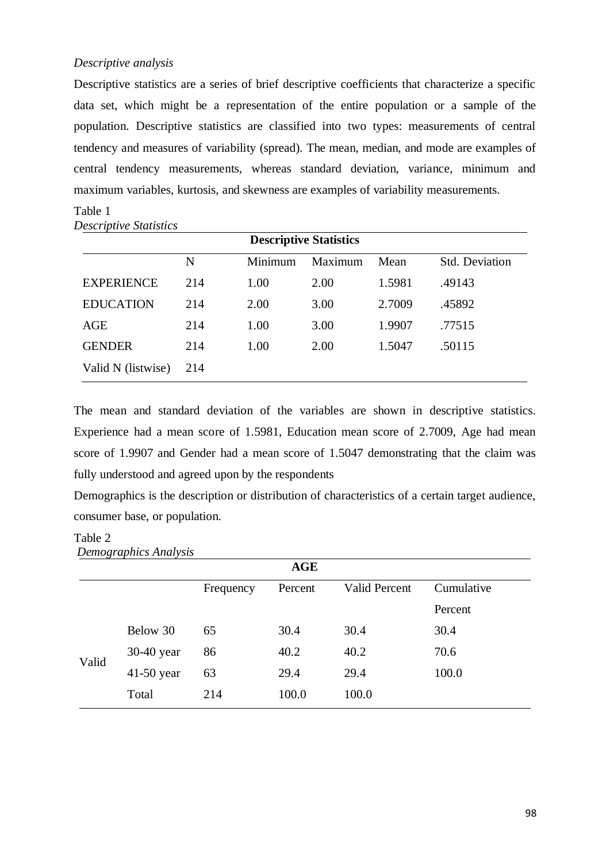#### *Descriptive analysis*

Descriptive statistics are a series of brief descriptive coefficients that characterize a specific data set, which might be a representation of the entire population or a sample of the population. Descriptive statistics are classified into two types: measurements of central tendency and measures of variability (spread). The mean, median, and mode are examples of central tendency measurements, whereas standard deviation, variance, minimum and maximum variables, kurtosis, and skewness are examples of variability measurements.

| <b>Descriptive Statistics</b> |     |         |         |        |                |  |  |
|-------------------------------|-----|---------|---------|--------|----------------|--|--|
|                               | N   | Minimum | Maximum | Mean   | Std. Deviation |  |  |
| <b>EXPERIENCE</b>             | 214 | 1.00    | 2.00    | 1.5981 | .49143         |  |  |
| <b>EDUCATION</b>              | 214 | 2.00    | 3.00    | 2.7009 | .45892         |  |  |
| AGE                           | 214 | 1.00    | 3.00    | 1.9907 | .77515         |  |  |
| <b>GENDER</b>                 | 214 | 1.00    | 2.00    | 1.5047 | .50115         |  |  |
| Valid N (listwise)            | 214 |         |         |        |                |  |  |

*Descriptive Statistics*

Table 1

The mean and standard deviation of the variables are shown in descriptive statistics. Experience had a mean score of 1.5981, Education mean score of 2.7009, Age had mean score of 1.9907 and Gender had a mean score of 1.5047 demonstrating that the claim was fully understood and agreed upon by the respondents

Demographics is the description or distribution of characteristics of a certain target audience, consumer base, or population.

## Table 2

|              |           | <b>AGE</b> |               |            |
|--------------|-----------|------------|---------------|------------|
|              | Frequency | Percent    | Valid Percent | Cumulative |
|              |           |            |               | Percent    |
| Below 30     | 65        | 30.4       | 30.4          | 30.4       |
| $30-40$ year | 86        | 40.2       | 40.2          | 70.6       |
| $41-50$ year | 63        | 29.4       | 29.4          | 100.0      |
| Total        | 214       | 100.0      | 100.0         |            |
|              |           |            |               |            |

*Demographics Analysis*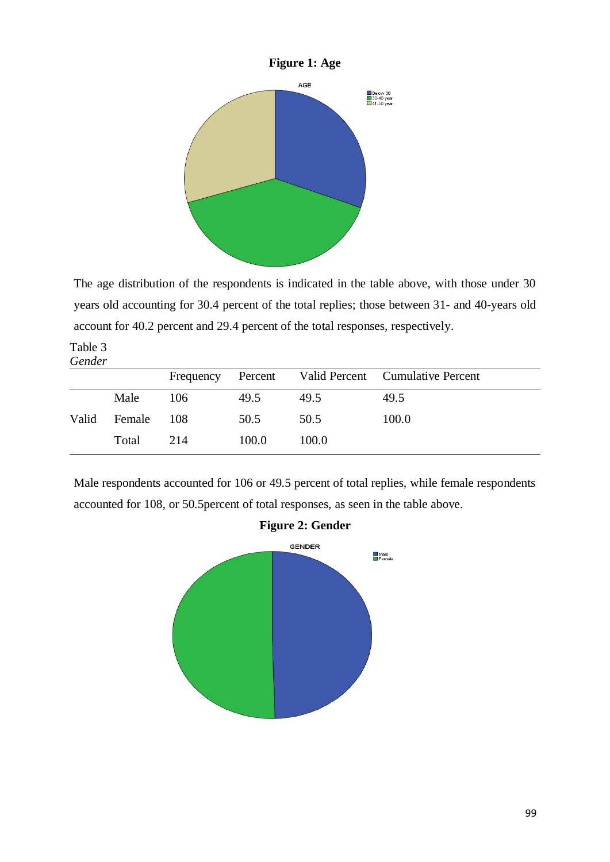

The age distribution of the respondents is indicated in the table above, with those under 30 years old accounting for 30.4 percent of the total replies; those between 31- and 40-years old account for 40.2 percent and 29.4 percent of the total responses, respectively.

Table 3 *Gender*

|       |        | Frequency |       |       | Percent Valid Percent Cumulative Percent |
|-------|--------|-----------|-------|-------|------------------------------------------|
|       | Male   | 106       | 49.5  | 49.5  | 49.5                                     |
| Valid | Female | 108       | 50.5  | 50.5  | 100.0                                    |
|       | Total  | 214       | 100.0 | 100.0 |                                          |

Male respondents accounted for 106 or 49.5 percent of total replies, while female respondents accounted for 108, or 50.5percent of total responses, as seen in the table above.



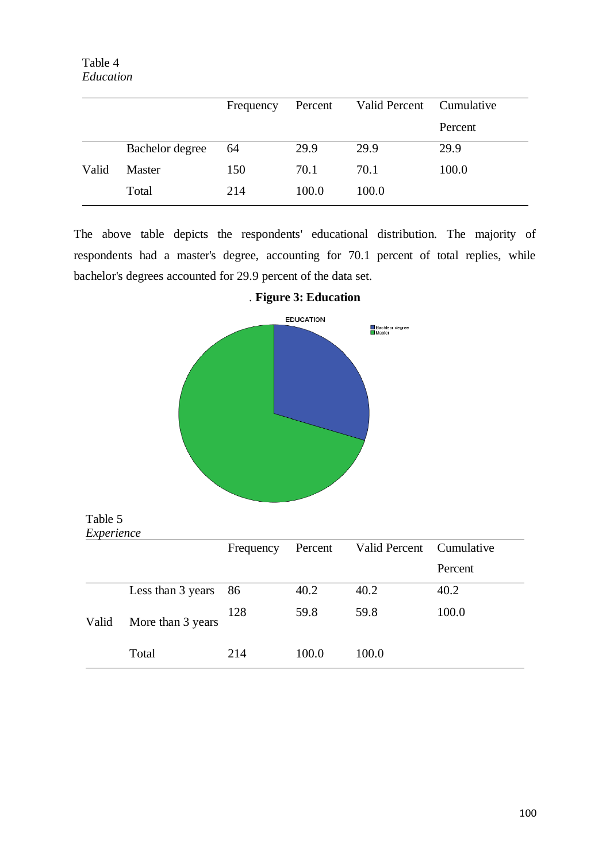Table 4 *Education*

|       |                 | Frequency | Percent | Valid Percent Cumulative |         |
|-------|-----------------|-----------|---------|--------------------------|---------|
|       |                 |           |         |                          | Percent |
|       | Bachelor degree | 64        | 29.9    | 29.9                     | 29.9    |
| Valid | Master          | 150       | 70.1    | 70.1                     | 100.0   |
|       | Total           | 214       | 100.0   | 100.0                    |         |

The above table depicts the respondents' educational distribution. The majority of respondents had a master's degree, accounting for 70.1 percent of total replies, while bachelor's degrees accounted for 29.9 percent of the data set.



. **Figure 3: Education** 

| Table 5    |
|------------|
| Experience |

|       |                   | Frequency | Percent | Valid Percent | Cumulative |
|-------|-------------------|-----------|---------|---------------|------------|
|       |                   |           |         |               | Percent    |
|       | Less than 3 years | - 86      | 40.2    | 40.2          | 40.2       |
| Valid | More than 3 years | 128       | 59.8    | 59.8          | 100.0      |
|       | Total             | 214       | 100.0   | 100.0         |            |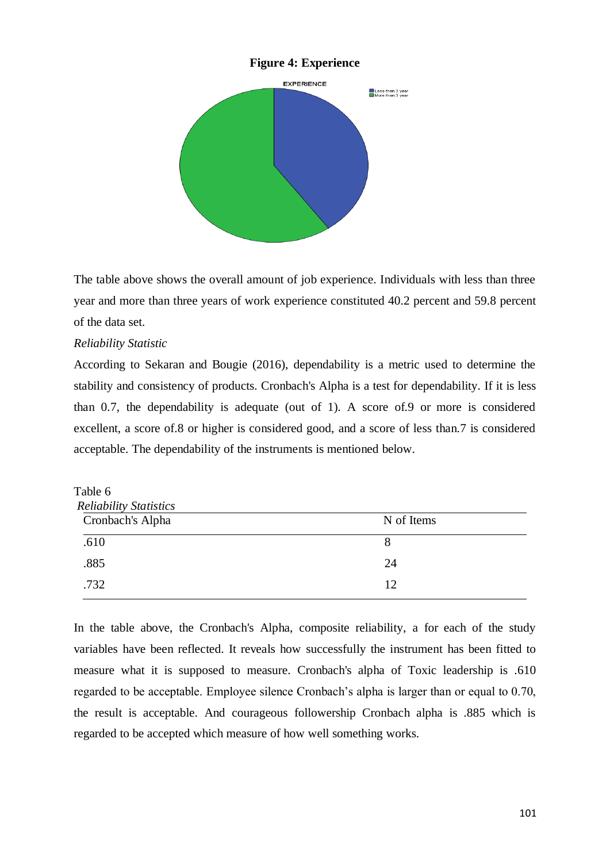## **Figure 4: Experience**



The table above shows the overall amount of job experience. Individuals with less than three year and more than three years of work experience constituted 40.2 percent and 59.8 percent of the data set.

## *Reliability Statistic*

According to Sekaran and Bougie (2016), dependability is a metric used to determine the stability and consistency of products. Cronbach's Alpha is a test for dependability. If it is less than 0.7, the dependability is adequate (out of 1). A score of.9 or more is considered excellent, a score of.8 or higher is considered good, and a score of less than.7 is considered acceptable. The dependability of the instruments is mentioned below.

| Table 6                       |            |  |  |  |  |
|-------------------------------|------------|--|--|--|--|
| <b>Reliability Statistics</b> |            |  |  |  |  |
| Cronbach's Alpha              | N of Items |  |  |  |  |
| .610                          | 8          |  |  |  |  |
| .885                          | 24         |  |  |  |  |
| .732                          | 12         |  |  |  |  |
|                               |            |  |  |  |  |

In the table above, the Cronbach's Alpha, composite reliability, a for each of the study variables have been reflected. It reveals how successfully the instrument has been fitted to measure what it is supposed to measure. Cronbach's alpha of Toxic leadership is .610 regarded to be acceptable. Employee silence Cronbach's alpha is larger than or equal to 0.70, the result is acceptable. And courageous followership Cronbach alpha is .885 which is regarded to be accepted which measure of how well something works.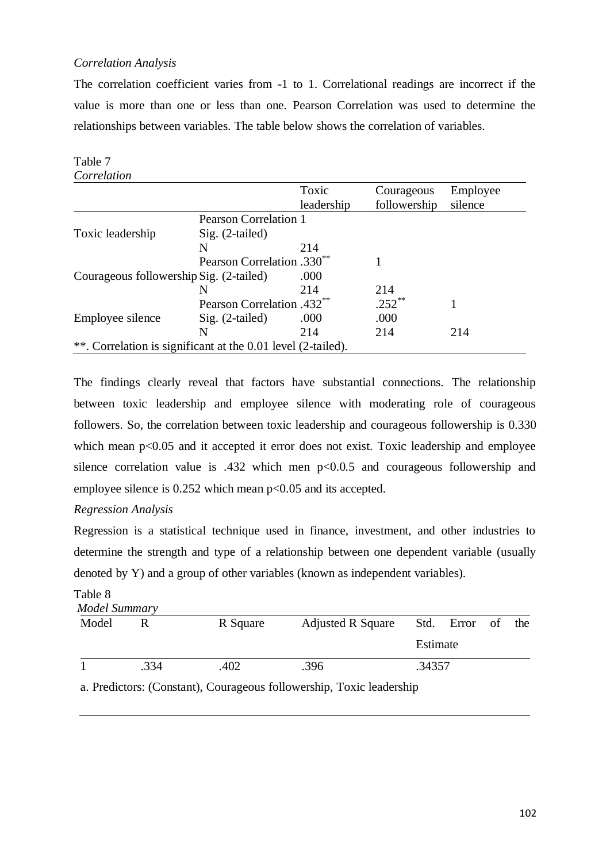## *Correlation Analysis*

The correlation coefficient varies from -1 to 1. Correlational readings are incorrect if the value is more than one or less than one. Pearson Correlation was used to determine the relationships between variables. The table below shows the correlation of variables.

| Table 7                                                      |                                        |            |              |          |
|--------------------------------------------------------------|----------------------------------------|------------|--------------|----------|
| Correlation                                                  |                                        |            |              |          |
|                                                              |                                        | Toxic      | Courageous   | Employee |
|                                                              |                                        | leadership | followership | silence  |
|                                                              | <b>Pearson Correlation 1</b>           |            |              |          |
| Toxic leadership                                             | $Sig. (2-tailed)$                      |            |              |          |
|                                                              | N                                      | 214        |              |          |
|                                                              | Pearson Correlation .330 <sup>**</sup> |            |              |          |
| Courageous followership Sig. (2-tailed)                      |                                        | .000       |              |          |
|                                                              | N                                      | 214        | 214          |          |
|                                                              | Pearson Correlation .432**             |            | $.252**$     |          |
| Employee silence                                             | $Sig. (2-tailed)$                      | .000       | .000         |          |
|                                                              | N                                      | 214        | 214          | 214      |
| **. Correlation is significant at the 0.01 level (2-tailed). |                                        |            |              |          |

The findings clearly reveal that factors have substantial connections. The relationship between toxic leadership and employee silence with moderating role of courageous followers. So, the correlation between toxic leadership and courageous followership is 0.330 which mean  $p<0.05$  and it accepted it error does not exist. Toxic leadership and employee silence correlation value is .432 which men p<0.0.5 and courageous followership and employee silence is  $0.252$  which mean  $p<0.05$  and its accepted.

## *Regression Analysis*

Regression is a statistical technique used in finance, investment, and other industries to determine the strength and type of a relationship between one dependent variable (usually denoted by Y) and a group of other variables (known as independent variables).

## Table 8

|       | <b>Model Summary</b> |          |                          |          |               |  |     |  |  |  |  |
|-------|----------------------|----------|--------------------------|----------|---------------|--|-----|--|--|--|--|
| Model | R                    | R Square | <b>Adjusted R Square</b> |          | Std. Error of |  | the |  |  |  |  |
|       |                      |          |                          | Estimate |               |  |     |  |  |  |  |
|       | .334                 | .402     | .396                     | .34357   |               |  |     |  |  |  |  |
|       |                      |          |                          |          |               |  |     |  |  |  |  |

a. Predictors: (Constant), Courageous followership, Toxic leadership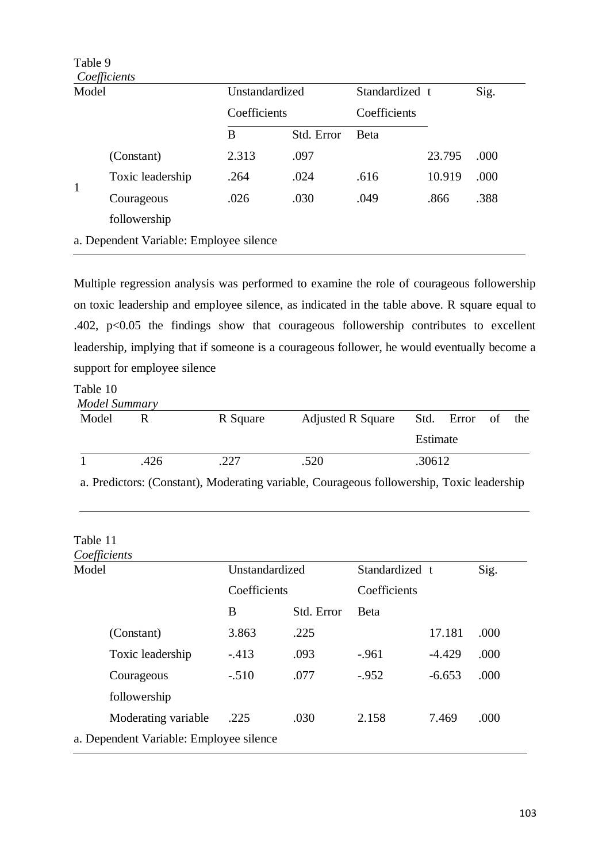| Model        |                                         | Unstandardized |              | Standardized t |        | Sig. |
|--------------|-----------------------------------------|----------------|--------------|----------------|--------|------|
|              |                                         |                | Coefficients |                |        |      |
|              |                                         | B              | Std. Error   | <b>B</b> eta   |        |      |
|              | (Constant)                              | 2.313          | .097         |                | 23.795 | .000 |
| $\mathbf{1}$ | Toxic leadership                        | .264           | .024         | .616           | 10.919 | .000 |
|              | Courageous                              | .026           | .030         | .049           | .866   | .388 |
|              | followership                            |                |              |                |        |      |
|              | a. Dependent Variable: Employee silence |                |              |                |        |      |

Multiple regression analysis was performed to examine the role of courageous followership on toxic leadership and employee silence, as indicated in the table above. R square equal to .402, p<0.05 the findings show that courageous followership contributes to excellent leadership, implying that if someone is a courageous follower, he would eventually become a support for employee silence

# Table 10

| Model Summary |      |          |                          |          |                   |  |
|---------------|------|----------|--------------------------|----------|-------------------|--|
| Model         |      | R Square | <b>Adjusted R Square</b> |          | Std. Error of the |  |
|               |      |          |                          | Estimate |                   |  |
|               | .426 | .227     | .520                     | .30612   |                   |  |

a. Predictors: (Constant), Moderating variable, Courageous followership, Toxic leadership

## Table 11

| Coefficients                            |                |              |                |          |      |  |  |
|-----------------------------------------|----------------|--------------|----------------|----------|------|--|--|
| Model                                   | Unstandardized |              | Standardized t |          | Sig. |  |  |
|                                         |                | Coefficients |                |          |      |  |  |
|                                         | B              | Std. Error   | <b>B</b> eta   |          |      |  |  |
| (Constant)                              | 3.863          | .225         |                | 17.181   | .000 |  |  |
| Toxic leadership                        | $-413$         | .093         | $-.961$        | $-4.429$ | .000 |  |  |
| Courageous                              | $-.510$        | .077         | $-952$         | $-6.653$ | .000 |  |  |
| followership                            |                |              |                |          |      |  |  |
| Moderating variable                     | .225           | .030         | 2.158          | 7.469    | .000 |  |  |
| a. Dependent Variable: Employee silence |                |              |                |          |      |  |  |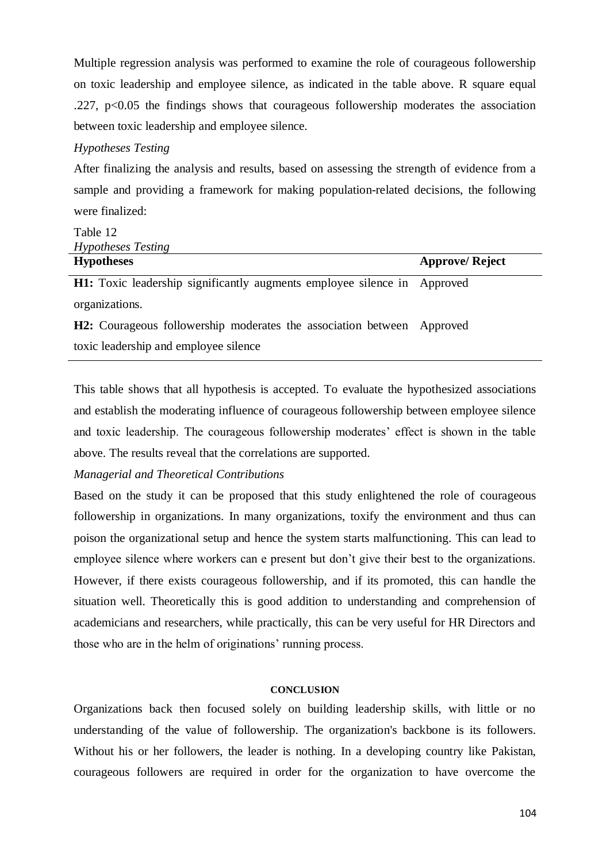Multiple regression analysis was performed to examine the role of courageous followership on toxic leadership and employee silence, as indicated in the table above. R square equal .227,  $p<0.05$  the findings shows that courageous followership moderates the association between toxic leadership and employee silence.

## *Hypotheses Testing*

After finalizing the analysis and results, based on assessing the strength of evidence from a sample and providing a framework for making population-related decisions, the following were finalized:

| Table 12                                                                 |                        |
|--------------------------------------------------------------------------|------------------------|
| <i>Hypotheses Testing</i>                                                |                        |
| <b>Hypotheses</b>                                                        | <b>Approve/ Reject</b> |
| H1: Toxic leadership significantly augments employee silence in Approved |                        |
| organizations.                                                           |                        |

**H2:** Courageous followership moderates the association between Approved toxic leadership and employee silence

This table shows that all hypothesis is accepted. To evaluate the hypothesized associations and establish the moderating influence of courageous followership between employee silence and toxic leadership. The courageous followership moderates' effect is shown in the table above. The results reveal that the correlations are supported.

#### *Managerial and Theoretical Contributions*

Based on the study it can be proposed that this study enlightened the role of courageous followership in organizations. In many organizations, toxify the environment and thus can poison the organizational setup and hence the system starts malfunctioning. This can lead to employee silence where workers can e present but don't give their best to the organizations. However, if there exists courageous followership, and if its promoted, this can handle the situation well. Theoretically this is good addition to understanding and comprehension of academicians and researchers, while practically, this can be very useful for HR Directors and those who are in the helm of originations' running process.

#### **CONCLUSION**

Organizations back then focused solely on building leadership skills, with little or no understanding of the value of followership. The organization's backbone is its followers. Without his or her followers, the leader is nothing. In a developing country like Pakistan, courageous followers are required in order for the organization to have overcome the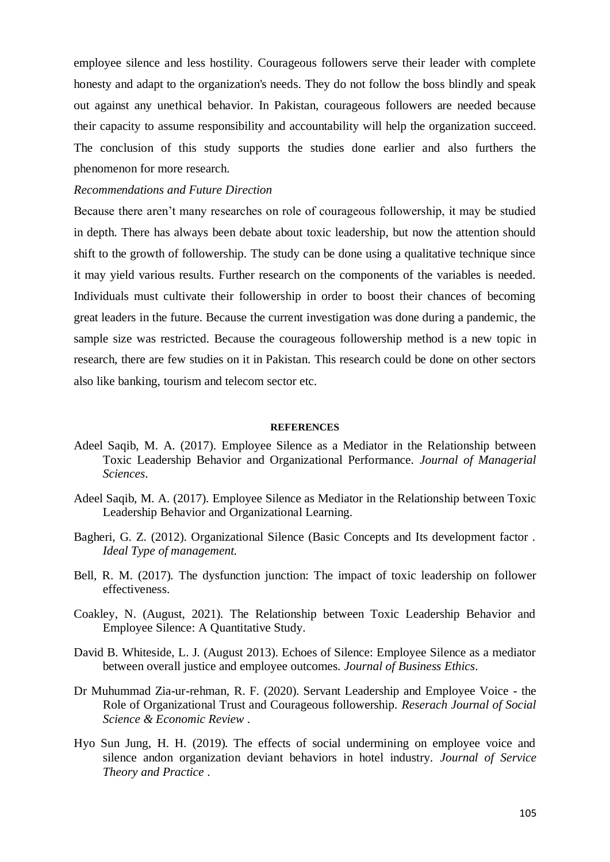employee silence and less hostility. Courageous followers serve their leader with complete honesty and adapt to the organization's needs. They do not follow the boss blindly and speak out against any unethical behavior. In Pakistan, courageous followers are needed because their capacity to assume responsibility and accountability will help the organization succeed. The conclusion of this study supports the studies done earlier and also furthers the phenomenon for more research.

## *Recommendations and Future Direction*

Because there aren't many researches on role of courageous followership, it may be studied in depth. There has always been debate about toxic leadership, but now the attention should shift to the growth of followership. The study can be done using a qualitative technique since it may yield various results. Further research on the components of the variables is needed. Individuals must cultivate their followership in order to boost their chances of becoming great leaders in the future. Because the current investigation was done during a pandemic, the sample size was restricted. Because the courageous followership method is a new topic in research, there are few studies on it in Pakistan. This research could be done on other sectors also like banking, tourism and telecom sector etc.

#### **REFERENCES**

- Adeel Saqib, M. A. (2017). Employee Silence as a Mediator in the Relationship between Toxic Leadership Behavior and Organizational Performance. *Journal of Managerial Sciences*.
- Adeel Saqib, M. A. (2017). Employee Silence as Mediator in the Relationship between Toxic Leadership Behavior and Organizational Learning.
- Bagheri, G. Z. (2012). Organizational Silence (Basic Concepts and Its development factor . *Ideal Type of management*.
- Bell, R. M. (2017). The dysfunction junction: The impact of toxic leadership on follower effectiveness.
- Coakley, N. (August, 2021). The Relationship between Toxic Leadership Behavior and Employee Silence: A Quantitative Study.
- David B. Whiteside, L. J. (August 2013). Echoes of Silence: Employee Silence as a mediator between overall justice and employee outcomes. *Journal of Business Ethics*.
- Dr Muhummad Zia-ur-rehman, R. F. (2020). Servant Leadership and Employee Voice the Role of Organizational Trust and Courageous followership. *Reserach Journal of Social Science & Economic Review* .
- Hyo Sun Jung, H. H. (2019). The effects of social undermining on employee voice and silence andon organization deviant behaviors in hotel industry. *Journal of Service Theory and Practice* .